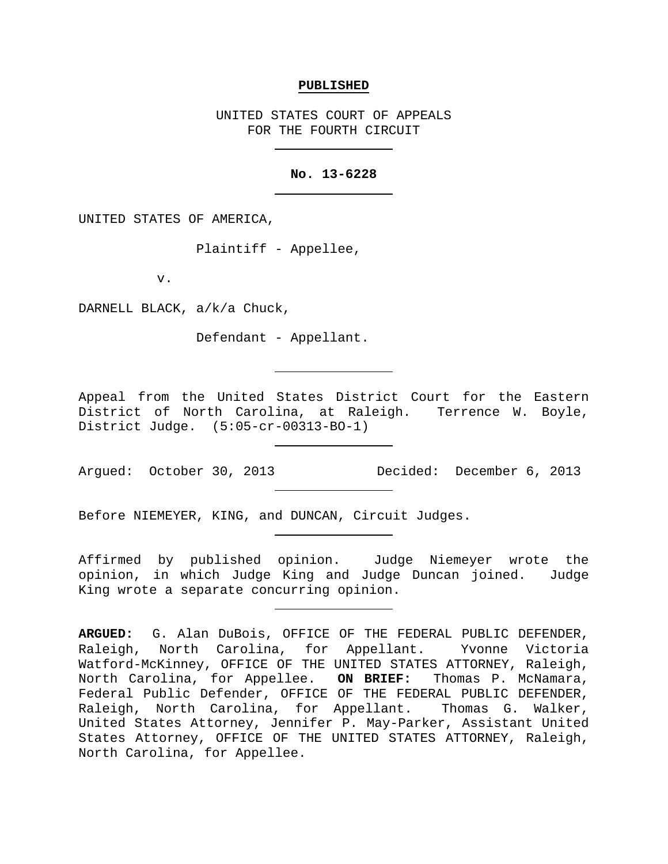#### **PUBLISHED**

UNITED STATES COURT OF APPEALS FOR THE FOURTH CIRCUIT

## **No. 13-6228**

UNITED STATES OF AMERICA,

Plaintiff - Appellee,

v.

DARNELL BLACK, a/k/a Chuck,

Defendant - Appellant.

Appeal from the United States District Court for the Eastern District of North Carolina, at Raleigh. Terrence W. Boyle, District Judge. (5:05-cr-00313-BO-1)

Argued: October 30, 2013 Decided: December 6, 2013

Before NIEMEYER, KING, and DUNCAN, Circuit Judges.

Affirmed by published opinion. Judge Niemeyer wrote the opinion, in which Judge King and Judge Duncan joined. Judge King wrote a separate concurring opinion.

**ARGUED:** G. Alan DuBois, OFFICE OF THE FEDERAL PUBLIC DEFENDER, for Appellant. Yvonne Victoria Watford-McKinney, OFFICE OF THE UNITED STATES ATTORNEY, Raleigh,<br>North Carolina, for Appellee. ON BRIEF: Thomas P. McNamara, North Carolina, for Appellee. **ON BRIEF:** Federal Public Defender, OFFICE OF THE FEDERAL PUBLIC DEFENDER, Raleigh, North Carolina, for Appellant. Thomas G. Walker, United States Attorney, Jennifer P. May-Parker, Assistant United States Attorney, OFFICE OF THE UNITED STATES ATTORNEY, Raleigh, North Carolina, for Appellee.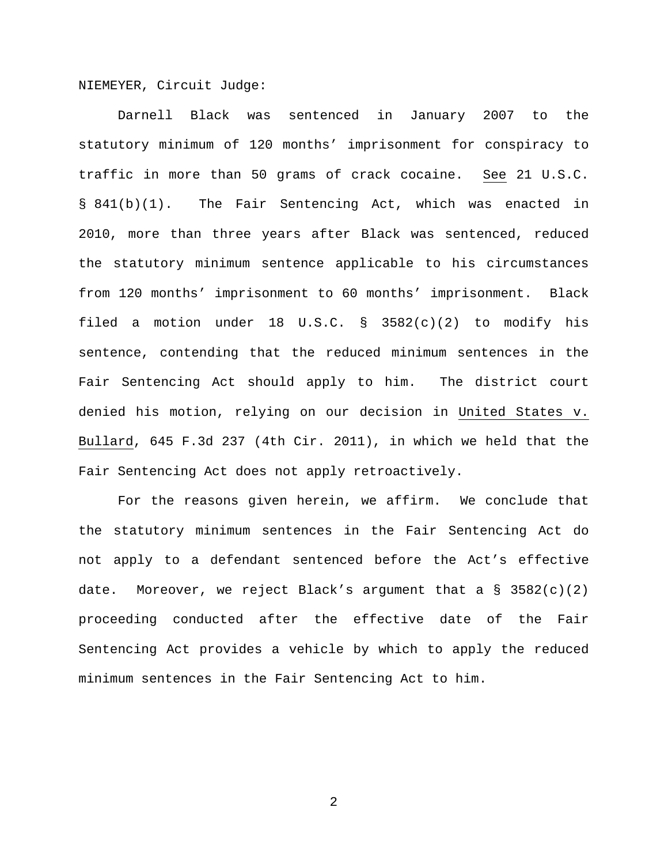NIEMEYER, Circuit Judge:

Darnell Black was sentenced in January 2007 to the statutory minimum of 120 months' imprisonment for conspiracy to traffic in more than 50 grams of crack cocaine. See 21 U.S.C. § 841(b)(1). The Fair Sentencing Act, which was enacted in 2010, more than three years after Black was sentenced, reduced the statutory minimum sentence applicable to his circumstances from 120 months' imprisonment to 60 months' imprisonment. Black filed a motion under 18 U.S.C. § 3582(c)(2) to modify his sentence, contending that the reduced minimum sentences in the Fair Sentencing Act should apply to him. The district court denied his motion, relying on our decision in United States v. Bullard, 645 F.3d 237 (4th Cir. 2011), in which we held that the Fair Sentencing Act does not apply retroactively.

For the reasons given herein, we affirm. We conclude that the statutory minimum sentences in the Fair Sentencing Act do not apply to a defendant sentenced before the Act's effective date. Moreover, we reject Black's argument that a  $\S$  3582(c)(2) proceeding conducted after the effective date of the Fair Sentencing Act provides a vehicle by which to apply the reduced minimum sentences in the Fair Sentencing Act to him.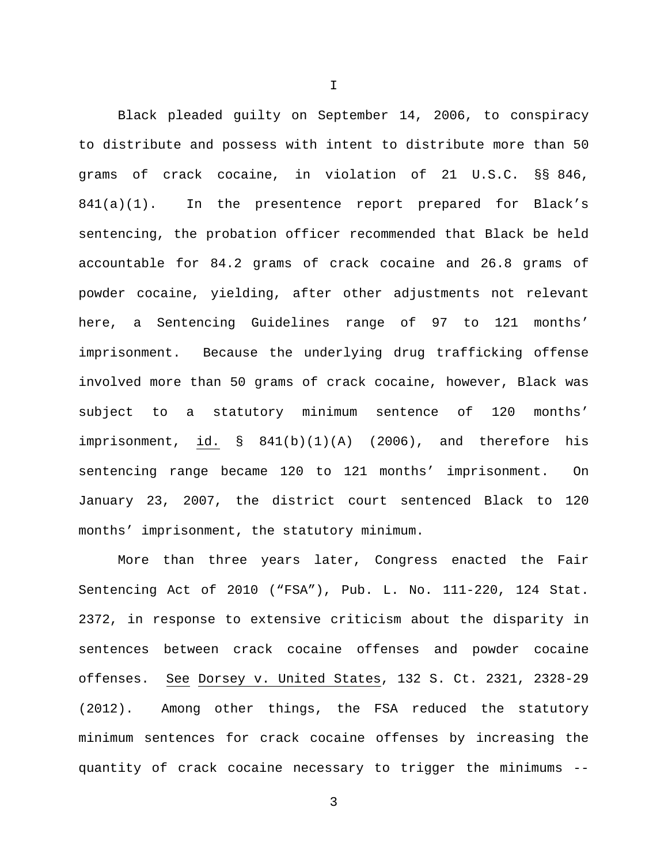Black pleaded guilty on September 14, 2006, to conspiracy to distribute and possess with intent to distribute more than 50 grams of crack cocaine, in violation of 21 U.S.C. §§ 846, 841(a)(1). In the presentence report prepared for Black's sentencing, the probation officer recommended that Black be held accountable for 84.2 grams of crack cocaine and 26.8 grams of powder cocaine, yielding, after other adjustments not relevant here, a Sentencing Guidelines range of 97 to 121 months' imprisonment. Because the underlying drug trafficking offense involved more than 50 grams of crack cocaine, however, Black was subject to a statutory minimum sentence of 120 months' imprisonment, id. § 841(b)(1)(A) (2006), and therefore his sentencing range became 120 to 121 months' imprisonment. On January 23, 2007, the district court sentenced Black to 120 months' imprisonment, the statutory minimum.

More than three years later, Congress enacted the Fair Sentencing Act of 2010 ("FSA"), Pub. L. No. 111-220, 124 Stat. 2372, in response to extensive criticism about the disparity in sentences between crack cocaine offenses and powder cocaine offenses. See Dorsey v. United States, 132 S. Ct. 2321, 2328-29 (2012). Among other things, the FSA reduced the statutory minimum sentences for crack cocaine offenses by increasing the quantity of crack cocaine necessary to trigger the minimums --

3

I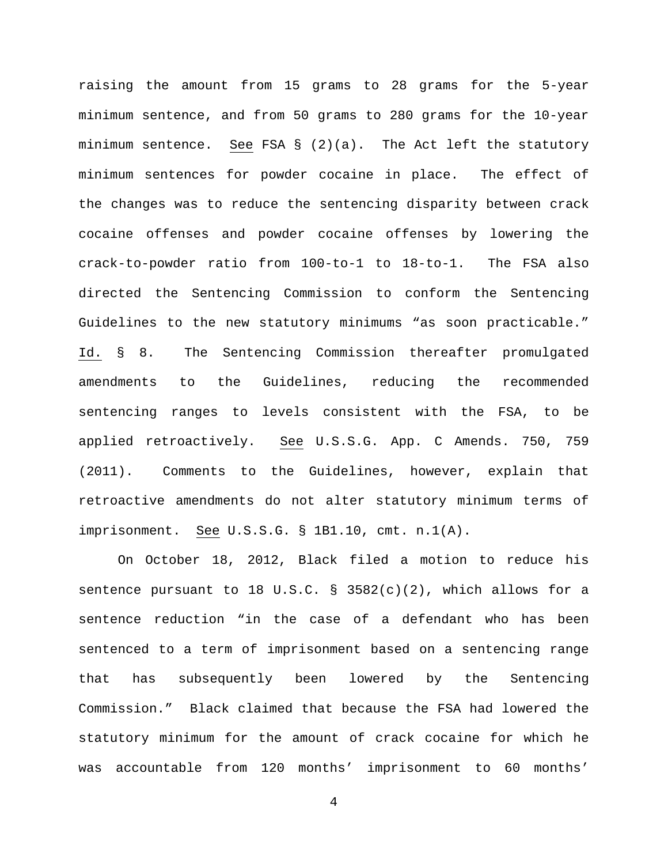raising the amount from 15 grams to 28 grams for the 5-year minimum sentence, and from 50 grams to 280 grams for the 10-year minimum sentence. See FSA  $\S$  (2)(a). The Act left the statutory minimum sentences for powder cocaine in place. The effect of the changes was to reduce the sentencing disparity between crack cocaine offenses and powder cocaine offenses by lowering the crack-to-powder ratio from 100-to-1 to 18-to-1. The FSA also directed the Sentencing Commission to conform the Sentencing Guidelines to the new statutory minimums "as soon practicable." Id. § 8. The Sentencing Commission thereafter promulgated amendments to the Guidelines, reducing the recommended sentencing ranges to levels consistent with the FSA, to be applied retroactively. See U.S.S.G. App. C Amends. 750, 759 (2011). Comments to the Guidelines, however, explain that retroactive amendments do not alter statutory minimum terms of imprisonment. See U.S.S.G. § 1B1.10, cmt. n.1(A).

On October 18, 2012, Black filed a motion to reduce his sentence pursuant to 18 U.S.C.  $\S$  3582(c)(2), which allows for a sentence reduction "in the case of a defendant who has been sentenced to a term of imprisonment based on a sentencing range that has subsequently been lowered by the Sentencing Commission." Black claimed that because the FSA had lowered the statutory minimum for the amount of crack cocaine for which he was accountable from 120 months' imprisonment to 60 months'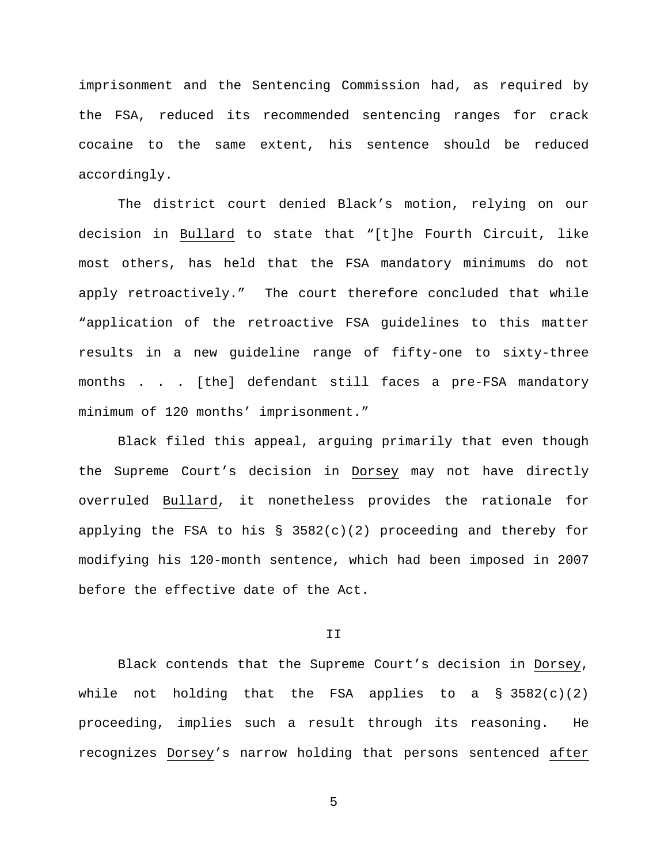imprisonment and the Sentencing Commission had, as required by the FSA, reduced its recommended sentencing ranges for crack cocaine to the same extent, his sentence should be reduced accordingly.

The district court denied Black's motion, relying on our decision in Bullard to state that "[t]he Fourth Circuit, like most others, has held that the FSA mandatory minimums do not apply retroactively." The court therefore concluded that while "application of the retroactive FSA guidelines to this matter results in a new guideline range of fifty-one to sixty-three months . . . [the] defendant still faces a pre-FSA mandatory minimum of 120 months' imprisonment."

Black filed this appeal, arguing primarily that even though the Supreme Court's decision in Dorsey may not have directly overruled Bullard, it nonetheless provides the rationale for applying the FSA to his  $\S$  3582(c)(2) proceeding and thereby for modifying his 120-month sentence, which had been imposed in 2007 before the effective date of the Act.

#### II

Black contends that the Supreme Court's decision in Dorsey, while not holding that the FSA applies to a  $\S$  3582(c)(2) proceeding, implies such a result through its reasoning. He recognizes Dorsey's narrow holding that persons sentenced after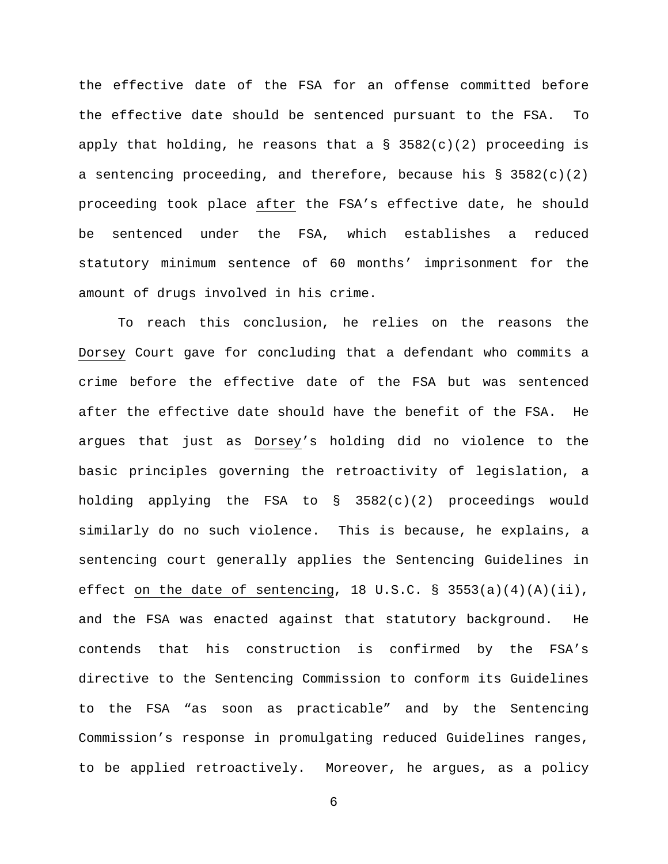the effective date of the FSA for an offense committed before the effective date should be sentenced pursuant to the FSA. To apply that holding, he reasons that a  $\S$  3582(c)(2) proceeding is a sentencing proceeding, and therefore, because his  $\S$  3582(c)(2) proceeding took place after the FSA's effective date, he should be sentenced under the FSA, which establishes a reduced statutory minimum sentence of 60 months' imprisonment for the amount of drugs involved in his crime.

To reach this conclusion, he relies on the reasons the Dorsey Court gave for concluding that a defendant who commits a crime before the effective date of the FSA but was sentenced after the effective date should have the benefit of the FSA. He argues that just as Dorsey's holding did no violence to the basic principles governing the retroactivity of legislation, a holding applying the FSA to  $\S$  3582(c)(2) proceedings would similarly do no such violence. This is because, he explains, a sentencing court generally applies the Sentencing Guidelines in effect on the date of sentencing, 18 U.S.C. § 3553(a)(4)(A)(ii), and the FSA was enacted against that statutory background. He contends that his construction is confirmed by the FSA's directive to the Sentencing Commission to conform its Guidelines to the FSA "as soon as practicable" and by the Sentencing Commission's response in promulgating reduced Guidelines ranges, to be applied retroactively. Moreover, he argues, as a policy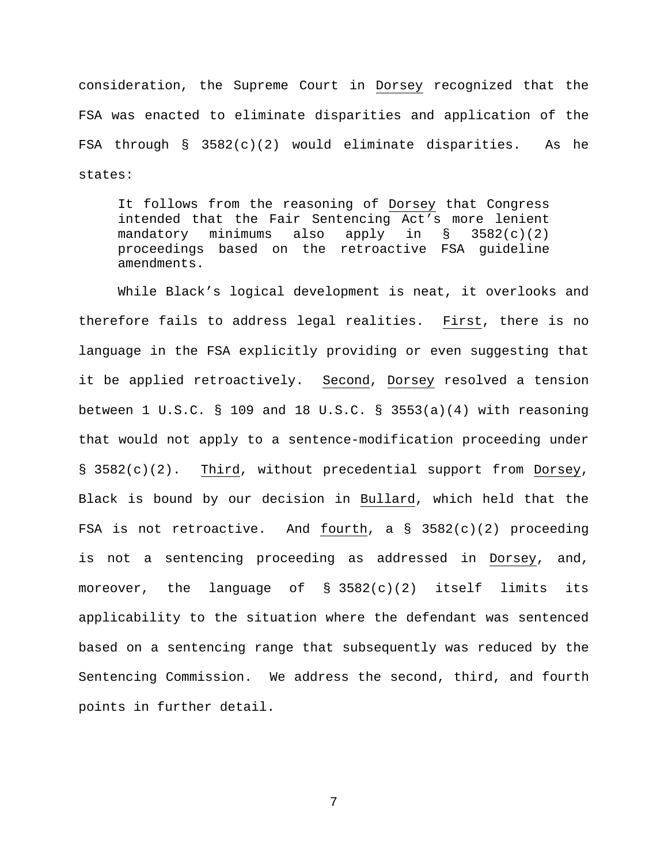consideration, the Supreme Court in Dorsey recognized that the FSA was enacted to eliminate disparities and application of the FSA through  $\S$  3582(c)(2) would eliminate disparities. As he states:

It follows from the reasoning of Dorsey that Congress intended that the Fair Sentencing Act's more lenient<br>mandatory minimums also apply in § 3582(c)(2) mandatory minimums also apply in  $\S$  3582(c)(2) proceedings based on the retroactive FSA guideline amendments.

While Black's logical development is neat, it overlooks and therefore fails to address legal realities. First, there is no language in the FSA explicitly providing or even suggesting that it be applied retroactively. Second, Dorsey resolved a tension between  $1 \text{ U.S.C. }$  § 109 and 18 U.S.C. § 3553(a)(4) with reasoning that would not apply to a sentence-modification proceeding under § 3582(c)(2). Third, without precedential support from Dorsey, Black is bound by our decision in Bullard, which held that the FSA is not retroactive. And fourth, a § 3582(c)(2) proceeding is not a sentencing proceeding as addressed in Dorsey, and, moreover, the language of § 3582(c)(2) itself limits its applicability to the situation where the defendant was sentenced based on a sentencing range that subsequently was reduced by the Sentencing Commission. We address the second, third, and fourth points in further detail.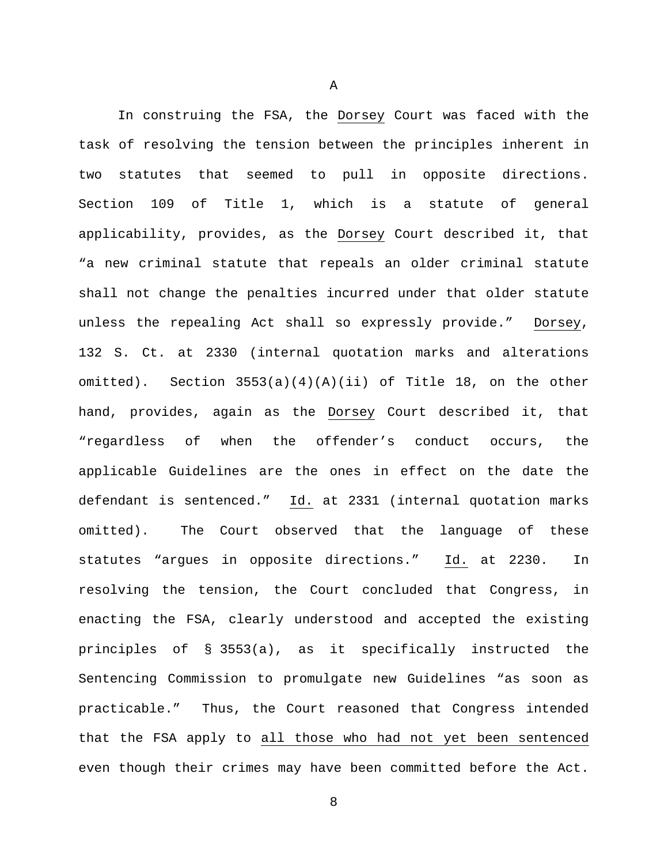In construing the FSA, the Dorsey Court was faced with the task of resolving the tension between the principles inherent in two statutes that seemed to pull in opposite directions. Section 109 of Title 1, which is a statute of general applicability, provides, as the Dorsey Court described it, that "a new criminal statute that repeals an older criminal statute shall not change the penalties incurred under that older statute unless the repealing Act shall so expressly provide." Dorsey, 132 S. Ct. at 2330 (internal quotation marks and alterations omitted). Section  $3553(a)(4)(A)(ii)$  of Title 18, on the other hand, provides, again as the Dorsey Court described it, that "regardless of when the offender's conduct occurs, the applicable Guidelines are the ones in effect on the date the defendant is sentenced." Id. at 2331 (internal quotation marks omitted). The Court observed that the language of these statutes "argues in opposite directions." Id. at 2230. In resolving the tension, the Court concluded that Congress, in enacting the FSA, clearly understood and accepted the existing principles of § 3553(a), as it specifically instructed the Sentencing Commission to promulgate new Guidelines "as soon as practicable." Thus, the Court reasoned that Congress intended that the FSA apply to all those who had not yet been sentenced even though their crimes may have been committed before the Act.

A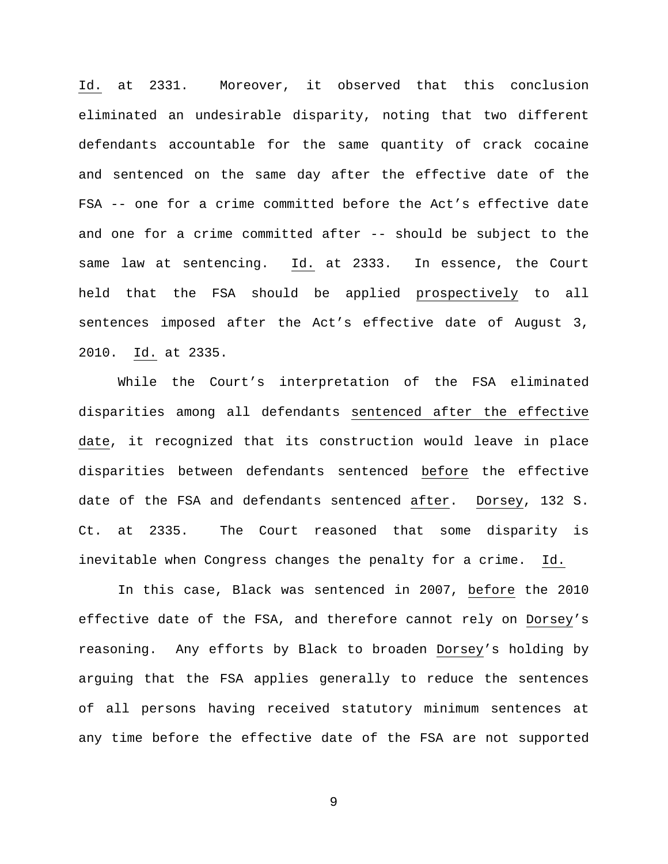Id. at 2331. Moreover, it observed that this conclusion eliminated an undesirable disparity, noting that two different defendants accountable for the same quantity of crack cocaine and sentenced on the same day after the effective date of the FSA -- one for a crime committed before the Act's effective date and one for a crime committed after -- should be subject to the same law at sentencing. Id. at 2333. In essence, the Court held that the FSA should be applied prospectively to all sentences imposed after the Act's effective date of August 3, 2010. Id. at 2335.

While the Court's interpretation of the FSA eliminated disparities among all defendants sentenced after the effective date, it recognized that its construction would leave in place disparities between defendants sentenced before the effective date of the FSA and defendants sentenced after. Dorsey, 132 S. Ct. at 2335. The Court reasoned that some disparity is inevitable when Congress changes the penalty for a crime. Id.

In this case, Black was sentenced in 2007, before the 2010 effective date of the FSA, and therefore cannot rely on Dorsey's reasoning. Any efforts by Black to broaden Dorsey's holding by arguing that the FSA applies generally to reduce the sentences of all persons having received statutory minimum sentences at any time before the effective date of the FSA are not supported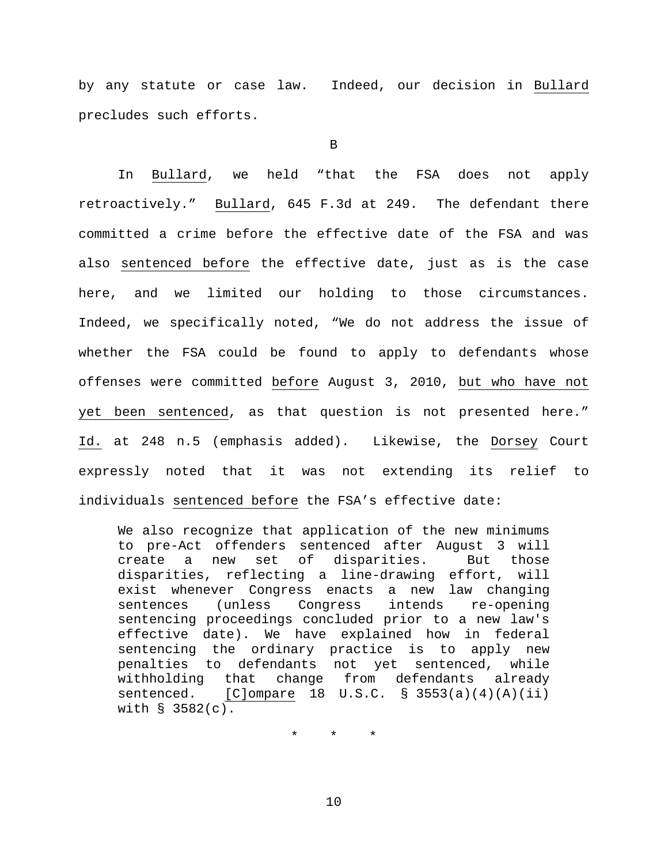by any statute or case law. Indeed, our decision in Bullard precludes such efforts.

B

In Bullard, we held "that the FSA does not apply retroactively." Bullard, 645 F.3d at 249. The defendant there committed a crime before the effective date of the FSA and was also sentenced before the effective date, just as is the case here, and we limited our holding to those circumstances. Indeed, we specifically noted, "We do not address the issue of whether the FSA could be found to apply to defendants whose offenses were committed before August 3, 2010, but who have not yet been sentenced, as that question is not presented here." Id. at 248 n.5 (emphasis added). Likewise, the Dorsey Court expressly noted that it was not extending its relief to individuals sentenced before the FSA's effective date:

We also recognize that application of the new minimums to pre-Act offenders sentenced after August 3 will create a new set of disparities. But those disparities, reflecting a line-drawing effort, will exist whenever Congress enacts a new law changing<br>sentences (unless Congress intends re-opening Congress sentencing proceedings concluded prior to a new law's effective date). We have explained how in federal sentencing the ordinary practice is to apply new penalties to defendants not yet sentenced, while<br>withholding that change from defendants already change from defendants already sentenced.  $[C]$ ompare 18 U.S.C. § 3553(a)(4)(A)(ii) with § 3582(c).

\* \* \*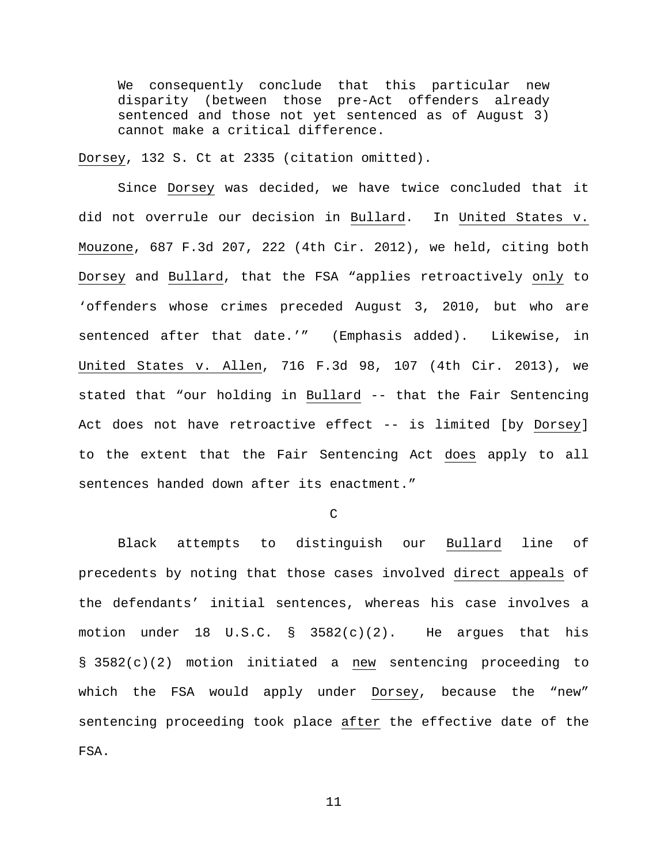We consequently conclude that this particular new disparity (between those pre-Act offenders already sentenced and those not yet sentenced as of August 3) cannot make a critical difference.

Dorsey, 132 S. Ct at 2335 (citation omitted).

Since Dorsey was decided, we have twice concluded that it did not overrule our decision in Bullard. In United States v. Mouzone, 687 F.3d 207, 222 (4th Cir. 2012), we held, citing both Dorsey and Bullard, that the FSA "applies retroactively only to 'offenders whose crimes preceded August 3, 2010, but who are sentenced after that date.'" (Emphasis added). Likewise, in United States v. Allen, 716 F.3d 98, 107 (4th Cir. 2013), we stated that "our holding in Bullard -- that the Fair Sentencing Act does not have retroactive effect -- is limited [by Dorsey] to the extent that the Fair Sentencing Act does apply to all sentences handed down after its enactment."

 $\mathcal{C}$ 

Black attempts to distinguish our Bullard line of precedents by noting that those cases involved direct appeals of the defendants' initial sentences, whereas his case involves a motion under 18 U.S.C.  $\S$  3582(c)(2). He argues that his § 3582(c)(2) motion initiated a new sentencing proceeding to which the FSA would apply under Dorsey, because the "new" sentencing proceeding took place after the effective date of the FSA.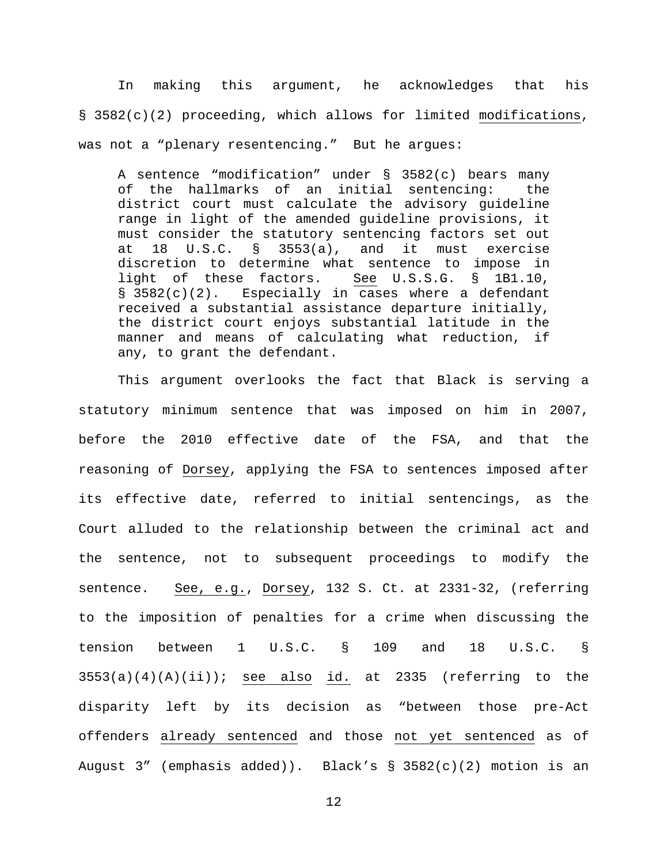In making this argument, he acknowledges that his § 3582(c)(2) proceeding, which allows for limited modifications, was not a "plenary resentencing." But he argues:

A sentence "modification" under § 3582(c) bears many of the hallmarks of an initial sentencing: the district court must calculate the advisory guideline range in light of the amended guideline provisions, it must consider the statutory sentencing factors set out<br>at 18 U.S.C. § 3553(a), and it must exercise at 18 U.S.C. § 3553(a), and it must exercise discretion to determine what sentence to impose in<br>light of these factors. See U.S.S.G. § 1B1.10, light of these factors. § 3582(c)(2). Especially in cases where a defendant received a substantial assistance departure initially, the district court enjoys substantial latitude in the manner and means of calculating what reduction, if any, to grant the defendant.

This argument overlooks the fact that Black is serving a statutory minimum sentence that was imposed on him in 2007, before the 2010 effective date of the FSA, and that the reasoning of Dorsey, applying the FSA to sentences imposed after its effective date, referred to initial sentencings, as the Court alluded to the relationship between the criminal act and the sentence, not to subsequent proceedings to modify the sentence. See, e.g., Dorsey, 132 S. Ct. at 2331-32, (referring to the imposition of penalties for a crime when discussing the tension between 1 U.S.C. § 109 and 18 U.S.C. §  $3553(a)(4)(A)(ii)$ ; see also id. at 2335 (referring to the disparity left by its decision as "between those pre-Act offenders already sentenced and those not yet sentenced as of August 3" (emphasis added)). Black's § 3582(c)(2) motion is an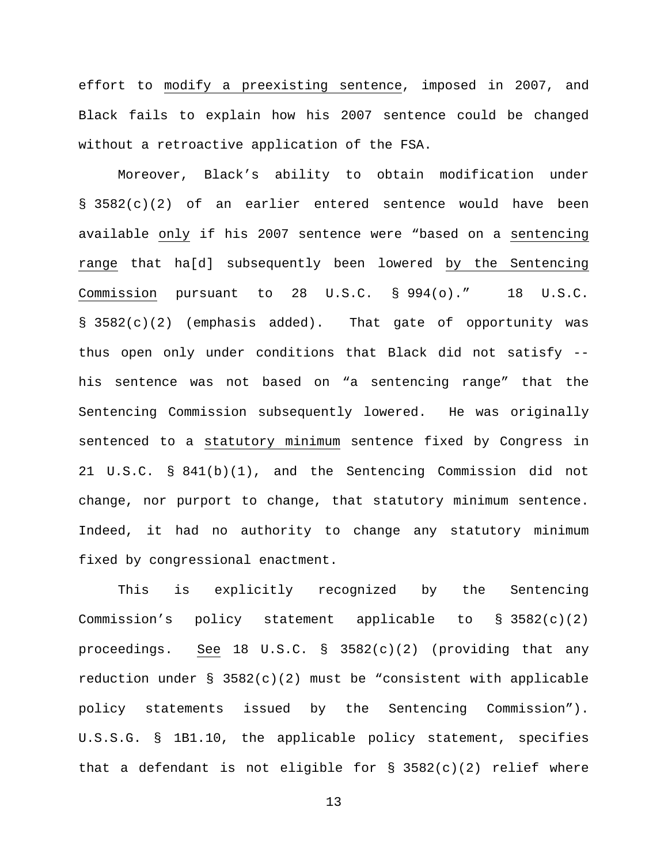effort to modify a preexisting sentence, imposed in 2007, and Black fails to explain how his 2007 sentence could be changed without a retroactive application of the FSA.

Moreover, Black's ability to obtain modification under § 3582(c)(2) of an earlier entered sentence would have been available only if his 2007 sentence were "based on a sentencing range that ha[d] subsequently been lowered by the Sentencing Commission pursuant to 28 U.S.C. § 994(o)." 18 U.S.C. § 3582(c)(2) (emphasis added). That gate of opportunity was thus open only under conditions that Black did not satisfy - his sentence was not based on "a sentencing range" that the Sentencing Commission subsequently lowered. He was originally sentenced to a statutory minimum sentence fixed by Congress in 21 U.S.C. § 841(b)(1), and the Sentencing Commission did not change, nor purport to change, that statutory minimum sentence. Indeed, it had no authority to change any statutory minimum fixed by congressional enactment.

This is explicitly recognized by the Sentencing Commission's policy statement applicable to § 3582(c)(2) proceedings. See 18 U.S.C. § 3582(c)(2) (providing that any reduction under § 3582(c)(2) must be "consistent with applicable policy statements issued by the Sentencing Commission"). U.S.S.G. § 1B1.10, the applicable policy statement, specifies that a defendant is not eligible for § 3582(c)(2) relief where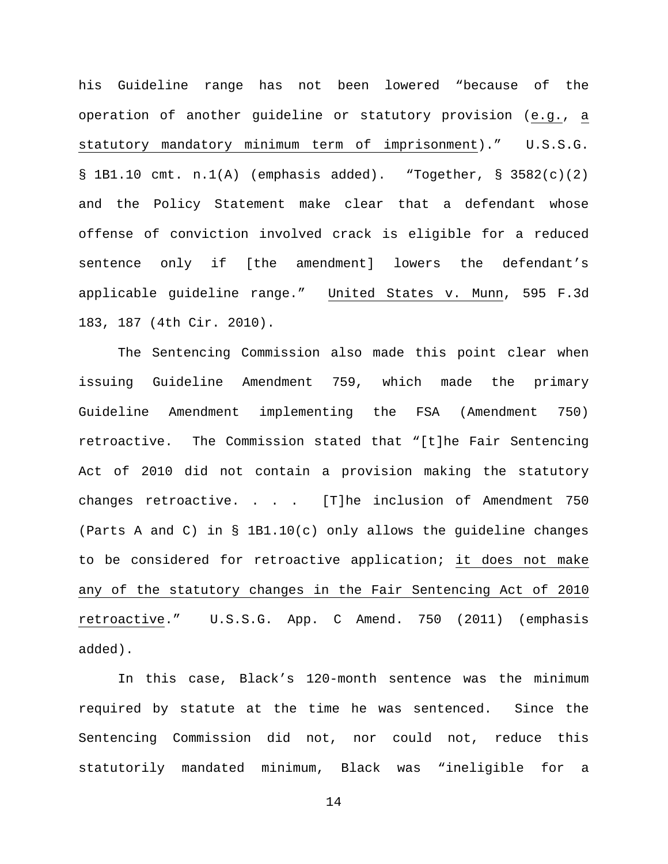his Guideline range has not been lowered "because of the operation of another guideline or statutory provision (e.g., a statutory mandatory minimum term of imprisonment)." U.S.S.G.  $\S$  1B1.10 cmt. n.1(A) (emphasis added). "Together,  $\S$  3582(c)(2) and the Policy Statement make clear that a defendant whose offense of conviction involved crack is eligible for a reduced sentence only if [the amendment] lowers the defendant's applicable guideline range." United States v. Munn, 595 F.3d 183, 187 (4th Cir. 2010).

The Sentencing Commission also made this point clear when issuing Guideline Amendment 759, which made the primary Guideline Amendment implementing the FSA (Amendment 750) retroactive. The Commission stated that "[t]he Fair Sentencing Act of 2010 did not contain a provision making the statutory changes retroactive. . . . [T]he inclusion of Amendment 750 (Parts A and C) in § 1B1.10(c) only allows the guideline changes to be considered for retroactive application; it does not make any of the statutory changes in the Fair Sentencing Act of 2010 retroactive." U.S.S.G. App. C Amend. 750 (2011) (emphasis added).

In this case, Black's 120-month sentence was the minimum required by statute at the time he was sentenced. Since the Sentencing Commission did not, nor could not, reduce this statutorily mandated minimum, Black was "ineligible for a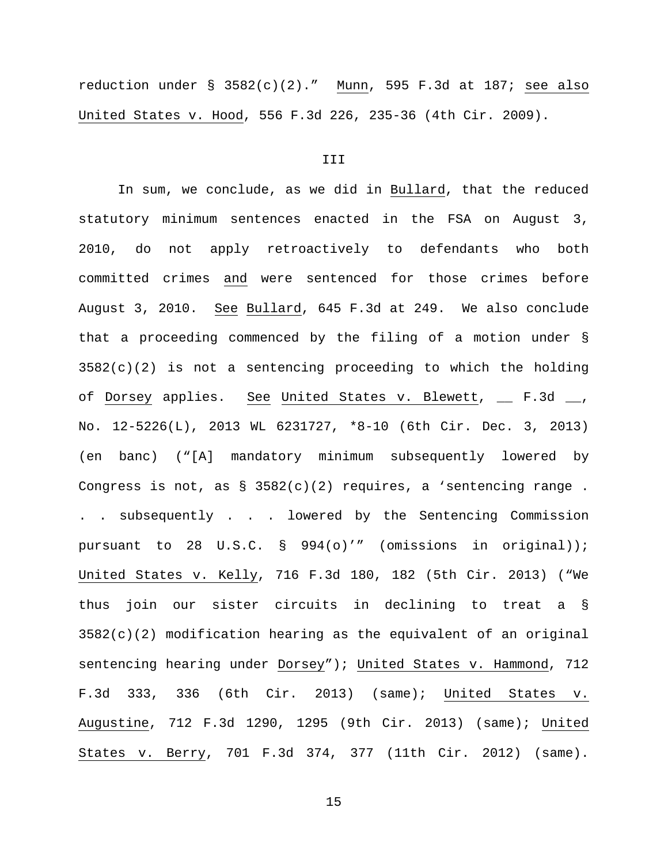reduction under  $\S$  3582(c)(2)." Munn, 595 F.3d at 187; see also United States v. Hood, 556 F.3d 226, 235-36 (4th Cir. 2009).

# III

In sum, we conclude, as we did in Bullard, that the reduced statutory minimum sentences enacted in the FSA on August 3, 2010, do not apply retroactively to defendants who both committed crimes and were sentenced for those crimes before August 3, 2010. See Bullard, 645 F.3d at 249. We also conclude that a proceeding commenced by the filing of a motion under §  $3582(c)(2)$  is not a sentencing proceeding to which the holding of Dorsey applies. See United States v. Blewett, \_\_ F.3d \_\_, No. 12-5226(L), 2013 WL 6231727, \*8-10 (6th Cir. Dec. 3, 2013) (en banc) ("[A] mandatory minimum subsequently lowered by Congress is not, as  $\S$  3582(c)(2) requires, a 'sentencing range. . . subsequently . . . lowered by the Sentencing Commission pursuant to 28 U.S.C. § 994(o)'" (omissions in original)); United States v. Kelly, 716 F.3d 180, 182 (5th Cir. 2013) ("We thus join our sister circuits in declining to treat a § 3582(c)(2) modification hearing as the equivalent of an original sentencing hearing under Dorsey"); United States v. Hammond, 712 F.3d 333, 336 (6th Cir. 2013) (same); United States v. Augustine, 712 F.3d 1290, 1295 (9th Cir. 2013) (same); United States v. Berry, 701 F.3d 374, 377 (11th Cir. 2012) (same).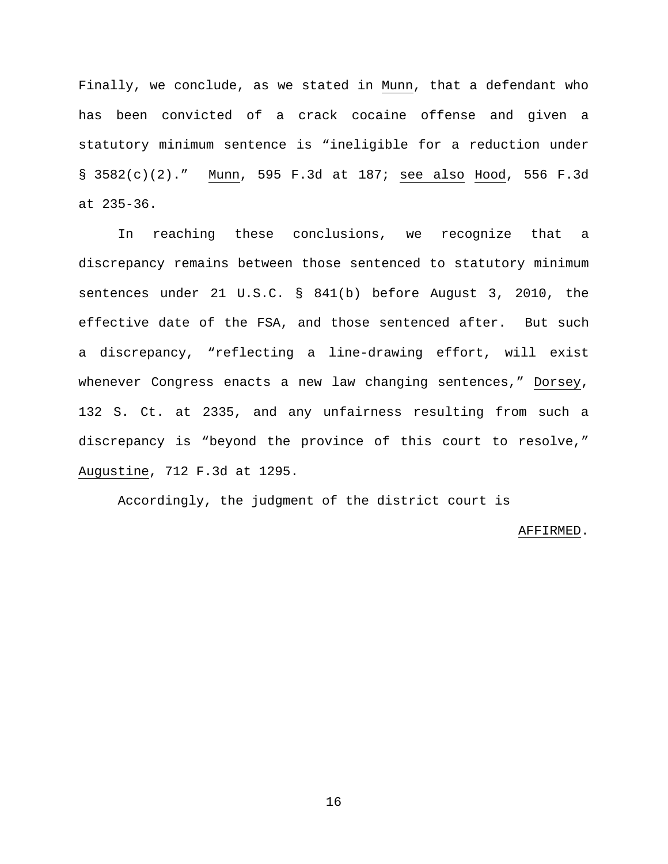Finally, we conclude, as we stated in Munn, that a defendant who has been convicted of a crack cocaine offense and given a statutory minimum sentence is "ineligible for a reduction under § 3582(c)(2)." Munn, 595 F.3d at 187; see also Hood, 556 F.3d at 235-36.

In reaching these conclusions, we recognize that a discrepancy remains between those sentenced to statutory minimum sentences under 21 U.S.C. § 841(b) before August 3, 2010, the effective date of the FSA, and those sentenced after. But such a discrepancy, "reflecting a line-drawing effort, will exist whenever Congress enacts a new law changing sentences," Dorsey, 132 S. Ct. at 2335, and any unfairness resulting from such a discrepancy is "beyond the province of this court to resolve," Augustine, 712 F.3d at 1295.

Accordingly, the judgment of the district court is

### AFFIRMED.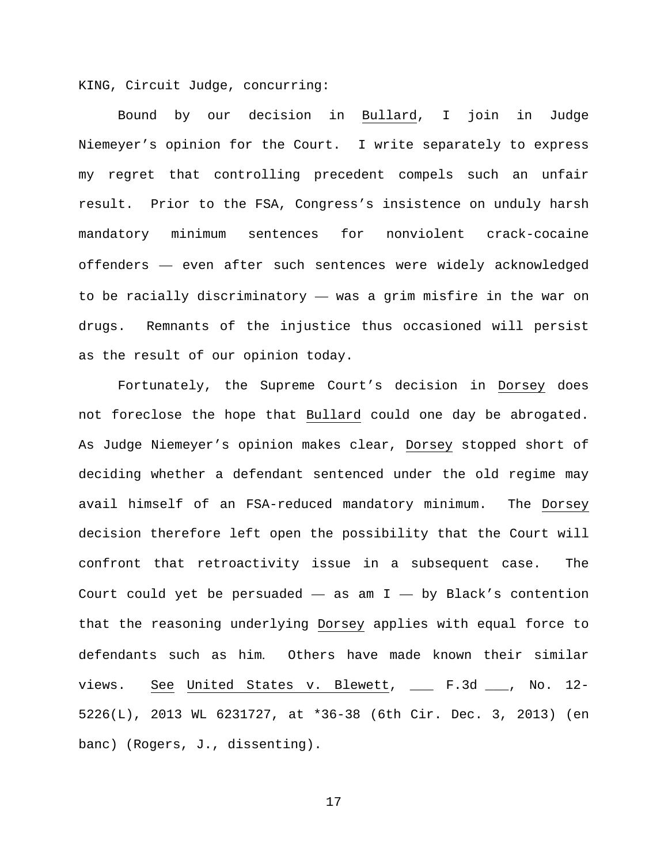KING, Circuit Judge, concurring:

Bound by our decision in Bullard, I join in Judge Niemeyer's opinion for the Court. I write separately to express my regret that controlling precedent compels such an unfair result. Prior to the FSA, Congress's insistence on unduly harsh mandatory minimum sentences for nonviolent crack-cocaine offenders — even after such sentences were widely acknowledged to be racially discriminatory — was a grim misfire in the war on drugs. Remnants of the injustice thus occasioned will persist as the result of our opinion today.

Fortunately, the Supreme Court's decision in Dorsey does not foreclose the hope that Bullard could one day be abrogated. As Judge Niemeyer's opinion makes clear, Dorsey stopped short of deciding whether a defendant sentenced under the old regime may avail himself of an FSA-reduced mandatory minimum. The Dorsey decision therefore left open the possibility that the Court will confront that retroactivity issue in a subsequent case. The Court could yet be persuaded  $-$  as am I  $-$  by Black's contention that the reasoning underlying Dorsey applies with equal force to defendants such as him. Others have made known their similar views. See United States v. Blewett, \_\_\_ F.3d \_\_\_, No. 12- 5226(L), 2013 WL 6231727, at \*36-38 (6th Cir. Dec. 3, 2013) (en banc) (Rogers, J., dissenting).